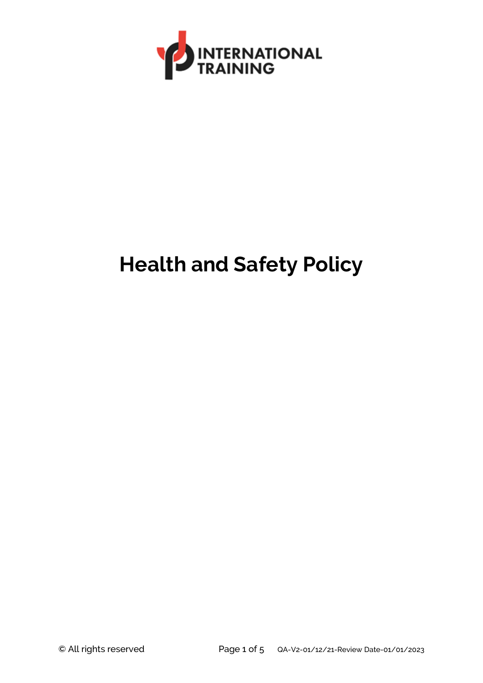

# **Health and Safety Policy**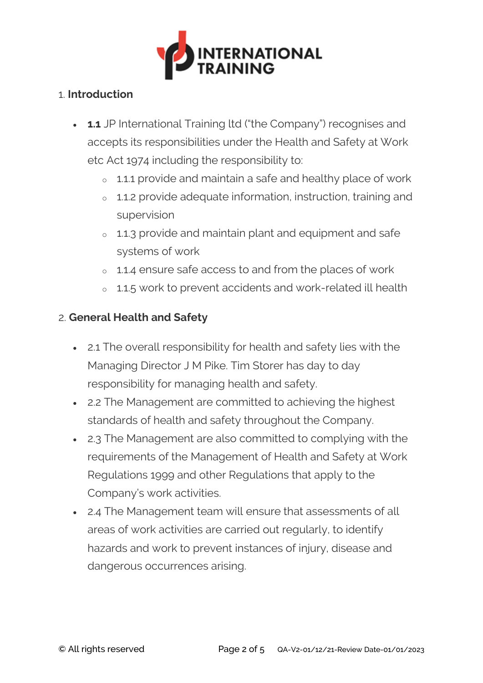

#### 1. **Introduction**

- **1.1** JP International Training ltd ("the Company") recognises and accepts its responsibilities under the Health and Safety at Work etc Act 1974 including the responsibility to:
	- <sup>o</sup> 1.1.1 provide and maintain a safe and healthy place of work
	- <sup>o</sup> 1.1.2 provide adequate information, instruction, training and supervision
	- <sup>o</sup> 1.1.3 provide and maintain plant and equipment and safe systems of work
	- <sup>o</sup> 1.1.4 ensure safe access to and from the places of work
	- <sup>o</sup> 1.1.5 work to prevent accidents and work-related ill health

### 2. **General Health and Safety**

- 2.1 The overall responsibility for health and safety lies with the Managing Director J M Pike. Tim Storer has day to day responsibility for managing health and safety.
- 2.2 The Management are committed to achieving the highest standards of health and safety throughout the Company.
- 2.3 The Management are also committed to complying with the requirements of the Management of Health and Safety at Work Regulations 1999 and other Regulations that apply to the Company's work activities.
- 2.4 The Management team will ensure that assessments of all areas of work activities are carried out regularly, to identify hazards and work to prevent instances of injury, disease and dangerous occurrences arising.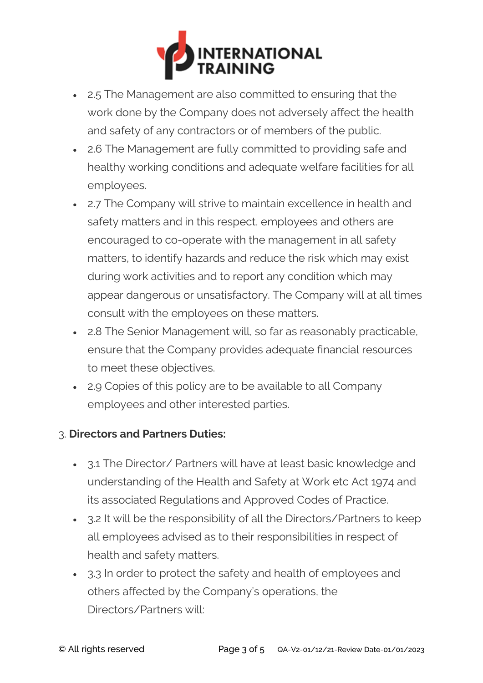

- 2.5 The Management are also committed to ensuring that the work done by the Company does not adversely affect the health and safety of any contractors or of members of the public.
- 2.6 The Management are fully committed to providing safe and healthy working conditions and adequate welfare facilities for all employees.
- 2.7 The Company will strive to maintain excellence in health and safety matters and in this respect, employees and others are encouraged to co-operate with the management in all safety matters, to identify hazards and reduce the risk which may exist during work activities and to report any condition which may appear dangerous or unsatisfactory. The Company will at all times consult with the employees on these matters.
- 2.8 The Senior Management will, so far as reasonably practicable, ensure that the Company provides adequate financial resources to meet these objectives.
- 2.9 Copies of this policy are to be available to all Company employees and other interested parties.

### 3. **Directors and Partners Duties:**

- 3.1 The Director/ Partners will have at least basic knowledge and understanding of the Health and Safety at Work etc Act 1974 and its associated Regulations and Approved Codes of Practice.
- 3.2 It will be the responsibility of all the Directors/Partners to keep all employees advised as to their responsibilities in respect of health and safety matters.
- 3.3 In order to protect the safety and health of employees and others affected by the Company's operations, the Directors/Partners will: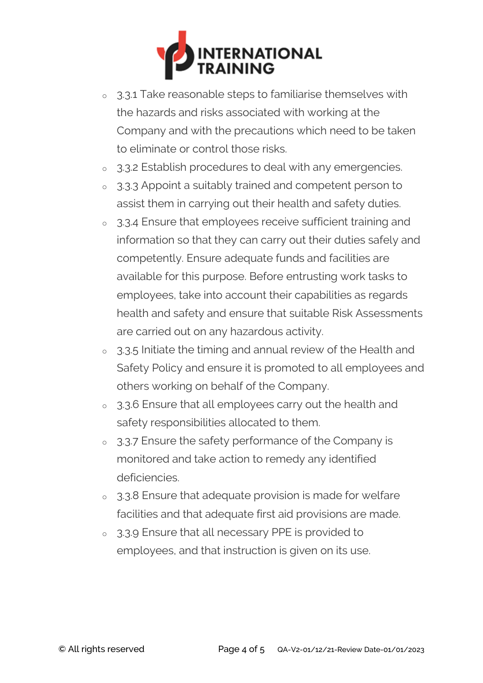

- <sup>o</sup> 3.3.1 Take reasonable steps to familiarise themselves with the hazards and risks associated with working at the Company and with the precautions which need to be taken to eliminate or control those risks.
- <sup>o</sup> 3.3.2 Establish procedures to deal with any emergencies.
- <sup>o</sup> 3.3.3 Appoint a suitably trained and competent person to assist them in carrying out their health and safety duties.
- <sup>o</sup> 3.3.4 Ensure that employees receive sufficient training and information so that they can carry out their duties safely and competently. Ensure adequate funds and facilities are available for this purpose. Before entrusting work tasks to employees, take into account their capabilities as regards health and safety and ensure that suitable Risk Assessments are carried out on any hazardous activity.
- <sup>o</sup> 3.3.5 Initiate the timing and annual review of the Health and Safety Policy and ensure it is promoted to all employees and others working on behalf of the Company.
- <sup>o</sup> 3.3.6 Ensure that all employees carry out the health and safety responsibilities allocated to them.
- <sup>o</sup> 3.3.7 Ensure the safety performance of the Company is monitored and take action to remedy any identified deficiencies.
- <sup>o</sup> 3.3.8 Ensure that adequate provision is made for welfare facilities and that adequate first aid provisions are made.
- <sup>o</sup> 3.3.9 Ensure that all necessary PPE is provided to employees, and that instruction is given on its use.